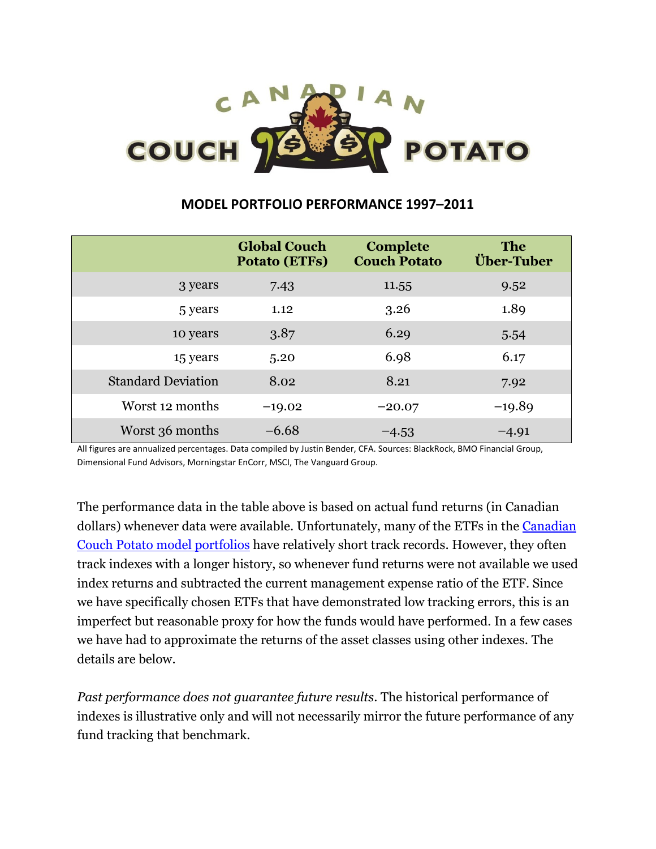# COUCH 9 **POTATO**

# **MODEL PORTFOLIO PERFORMANCE 1997–2011**

|                           | <b>Global Couch</b><br><b>Potato (ETFs)</b> | <b>Complete</b><br><b>Couch Potato</b> | <b>The</b><br>Über-Tuber |
|---------------------------|---------------------------------------------|----------------------------------------|--------------------------|
| 3 years                   | 7.43                                        | 11.55                                  | 9.52                     |
| 5 years                   | 1.12                                        | 3.26                                   | 1.89                     |
| 10 years                  | 3.87                                        | 6.29                                   | 5.54                     |
| 15 years                  | 5.20                                        | 6.98                                   | 6.17                     |
| <b>Standard Deviation</b> | 8.02                                        | 8.21                                   | 7.92                     |
| Worst 12 months           | $-19.02$                                    | $-20.07$                               | $-19.89$                 |
| Worst 36 months           | $-6.68$                                     | $-4.53$                                | $-4.91$                  |

All figures are annualized percentages. Data compiled by Justin Bender, CFA. Sources: BlackRock, BMO Financial Group, Dimensional Fund Advisors, Morningstar EnCorr, MSCI, The Vanguard Group.

The performance data in the table above is based on actual fund returns (in Canadian dollars) whenever data were available. Unfortunately, many of the ETFs in the [Canadian](http://canadiancouchpotato.com/model-portfolios/)  [Couch Potato model portfolios](http://canadiancouchpotato.com/model-portfolios/) have relatively short track records. However, they often track indexes with a longer history, so whenever fund returns were not available we used index returns and subtracted the current management expense ratio of the ETF. Since we have specifically chosen ETFs that have demonstrated low tracking errors, this is an imperfect but reasonable proxy for how the funds would have performed. In a few cases we have had to approximate the returns of the asset classes using other indexes. The details are below.

*Past performance does not guarantee future results*. The historical performance of indexes is illustrative only and will not necessarily mirror the future performance of any fund tracking that benchmark.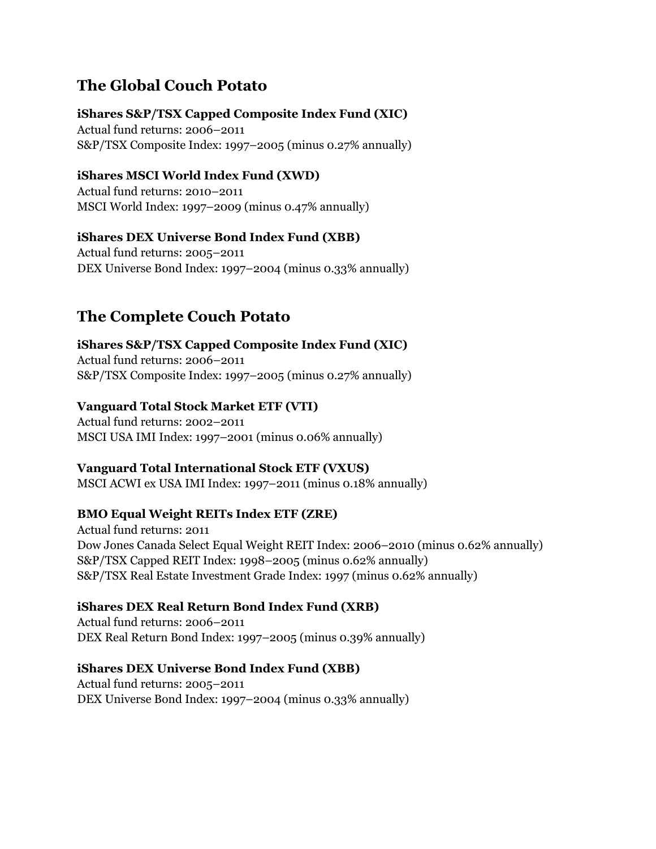# **The Global Couch Potato**

## **iShares S&P/TSX Capped Composite Index Fund (XIC)**

Actual fund returns: 2006–2011 S&P/TSX Composite Index: 1997–2005 (minus 0.27% annually)

## **iShares MSCI World Index Fund (XWD)**

Actual fund returns: 2010–2011 MSCI World Index: 1997–2009 (minus 0.47% annually)

## **iShares DEX Universe Bond Index Fund (XBB)**

Actual fund returns: 2005–2011 DEX Universe Bond Index: 1997–2004 (minus 0.33% annually)

# **The Complete Couch Potato**

**iShares S&P/TSX Capped Composite Index Fund (XIC)** Actual fund returns: 2006–2011 S&P/TSX Composite Index: 1997–2005 (minus 0.27% annually)

## **Vanguard Total Stock Market ETF (VTI)**

Actual fund returns: 2002–2011 MSCI USA IMI Index: 1997–2001 (minus 0.06% annually)

#### **Vanguard Total International Stock ETF (VXUS)**

MSCI ACWI ex USA IMI Index: 1997–2011 (minus 0.18% annually)

# **BMO Equal Weight REITs Index ETF (ZRE)**

Actual fund returns: 2011 Dow Jones Canada Select Equal Weight REIT Index: 2006–2010 (minus 0.62% annually) S&P/TSX Capped REIT Index: 1998–2005 (minus 0.62% annually) S&P/TSX Real Estate Investment Grade Index: 1997 (minus 0.62% annually)

# **iShares DEX Real Return Bond Index Fund (XRB)**

Actual fund returns: 2006–2011 DEX Real Return Bond Index: 1997–2005 (minus 0.39% annually)

#### **iShares DEX Universe Bond Index Fund (XBB)**

Actual fund returns: 2005–2011 DEX Universe Bond Index: 1997–2004 (minus 0.33% annually)